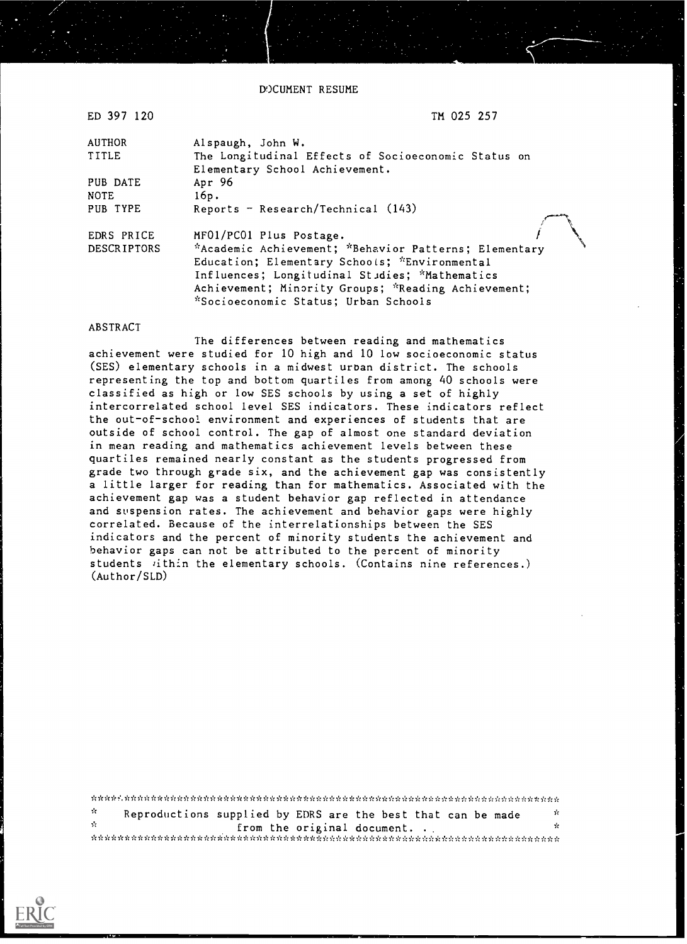DOCUMENT RESUME

| ED 397 120         | TM 025 257                                            |
|--------------------|-------------------------------------------------------|
| <b>AUTHOR</b>      | Alspaugh, John W.                                     |
| TITLE              | The Longitudinal Effects of Socioeconomic Status on   |
|                    | Elementary School Achievement.                        |
| PUB DATE           | Apr $96$                                              |
| <b>NOTE</b>        | 16p.                                                  |
| PUB TYPE           | Reports - Research/Technical (143)                    |
|                    |                                                       |
| EDRS PRICE         | MF01/PC01 Plus Postage.                               |
| <b>DESCRIPTORS</b> | *Academic Achievement; *Behavior Patterns; Elementary |
|                    | Education; Elementary Schools; *Environmental         |
|                    | Influences; Longitudinal Stidies; *Mathematics        |
|                    | Achievement; Minority Groups; *Reading Achievement;   |
|                    | *Socioeconomic Status; Urban Schools                  |
|                    |                                                       |

#### ABSTRACT

The differences between reading and mathematics achievement were studied for 10 high and 10 low socioeconomic status (SES) elementary schools in a midwest urban district. The schools representing the top and bottom quartiles from among 40 schools were classified as high or low SES schools by using a set of highly intercorrelated school level SES indicators. These indicators reflect the out-of-school environment and experiences of students that are outside of school control. The gap of almost one standard deviation in mean reading and mathematics achievement levels between these quartiles remained nearly constant as the students progressed from grade two through grade six, and the achievement gap was consistently a little larger for reading than for mathematics. Associated with the achievement gap was a student behavior gap reflected in attendance and suspension rates. The achievement and behavior gaps were highly correlated. Because of the interrelationships between the SES indicators and the percent of minority students the achievement and behavior gaps can not be attributed to the percent of minority students iithin the elementary schools. (Contains nine references.) (Author/SLD)

| - SC | Reproductions supplied by EDRS are the best that can be made | -St |
|------|--------------------------------------------------------------|-----|
| - St | from the original document                                   | -12 |
|      |                                                              |     |

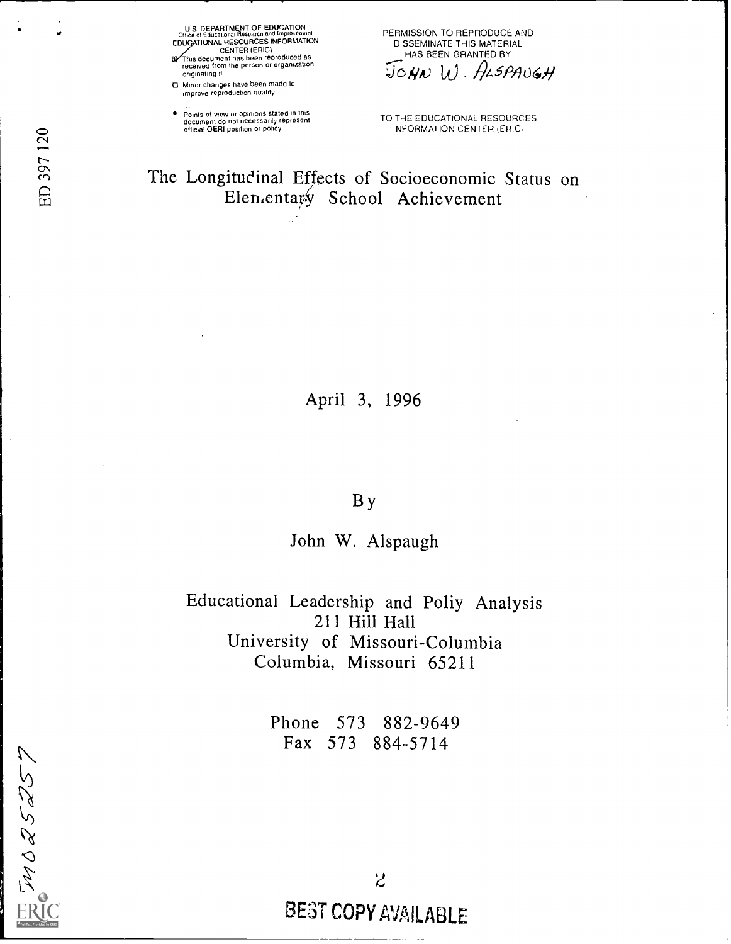US DEPARTMENT OF EDUCATION<br>Office of Educational Research and Improvement<br>EDUCATIONAL RESOURCES INFORMATION

CENTER (ERIC) This document has been reproduced as  $\omega$ received from the person or organization originating II

CI Minor changes have been made to improve reproduction quality

Points of view or opinions stated in this document do not necessarily represent official OERI position or policy

PERMISSION TO REPRODUCE AND DISSEMINATE THIS MATERIAL HAS BEEN GRANTED BY JOHN W. ALSPAUGH

TO THE EDUCATIONAL RESOURCES INFORMATION CENTER (ERIC)

The Longitudinal Effects of Socioeconomic Status on Elen.entary School Achievement

April 3, 1996

### B y

John W. Alspaugh

Educational Leadership and Poliy Analysis 211 Hill Hall University of Missouri-Columbia Columbia, Missouri 65211

> Phone 573 882-9649 Fax 573 884-5714

BE3T COPY AVAILABLE

TWO 25257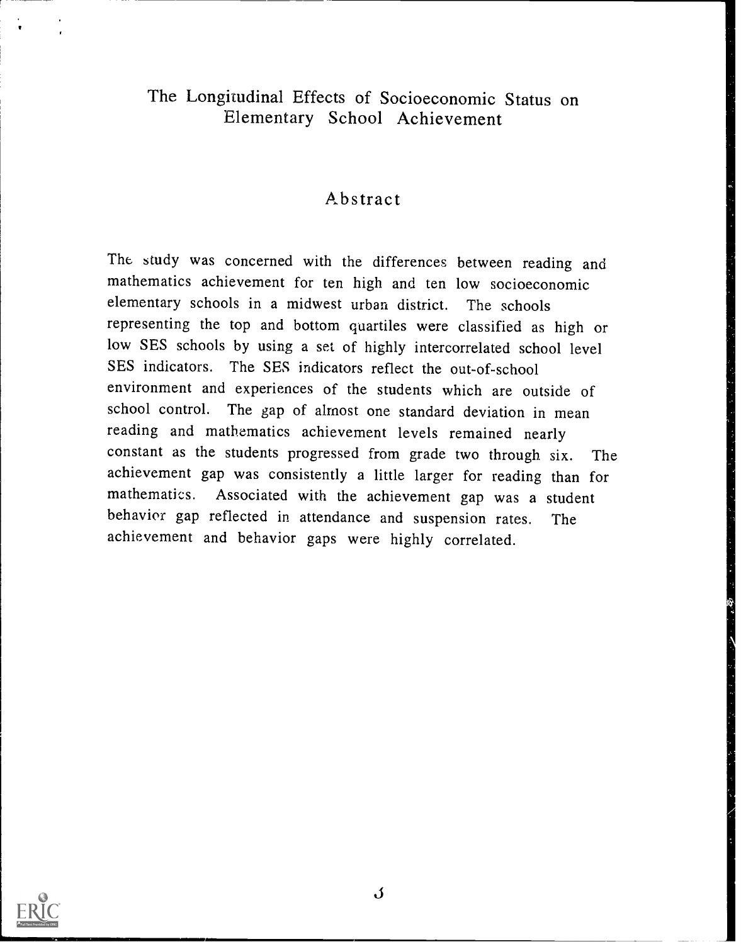# The Longitudinal Effects of Socioeconomic Status on Elementary School Achievement

### Abstract

The study was concerned with the differences between reading and mathematics achievement for ten high and ten low socioeconomic elementary schools in a midwest urban district. The schools representing the top and bottom quartiles were classified as high or low SES schools by using a set of highly intercorrelated school level SES indicators. The SES indicators reflect the out-of-school environment and experiences of the students which are outside of school control. The gap of almost one standard deviation in mean reading and mathematics achievement levels remained nearly constant as the students progressed from grade two through six. The achievement gap was consistently a little larger for reading than for mathematics. Associated with the achievement gap was a student behavior gap reflected in attendance and suspension rates. The achievement and behavior gaps were highly correlated.



 $\mathbf{J}$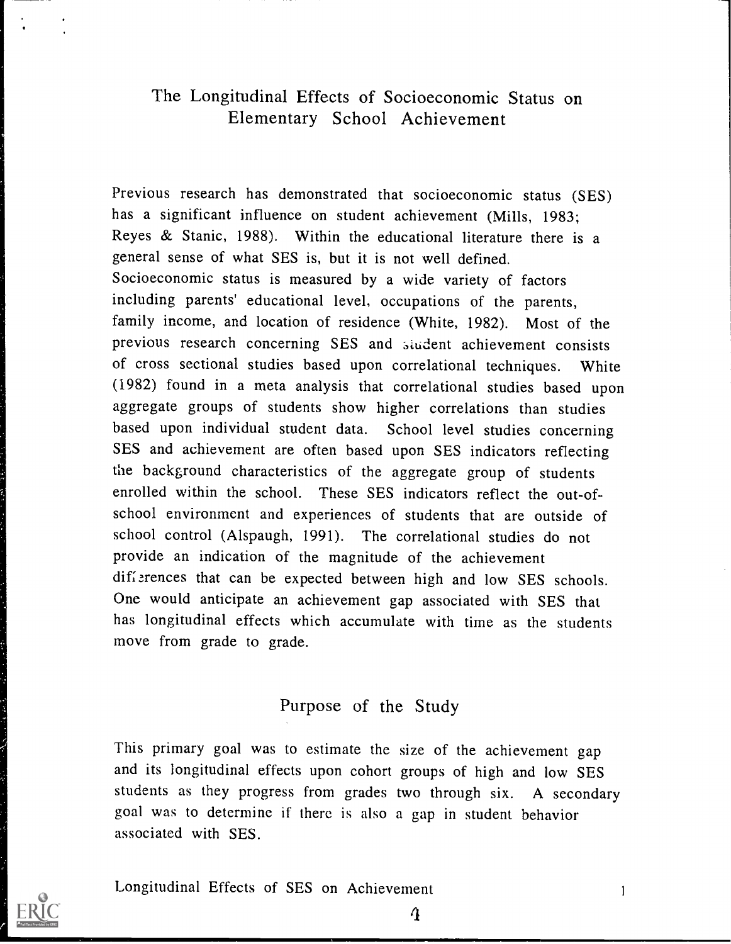# The Longitudinal Effects of Socioeconomic Status on Elementary School Achievement

Previous research has demonstrated that socioeconomic status (SES) has a significant influence on student achievement (Mills, 1983; Reyes & Stanic, 1988). Within the educational literature there is a general sense of what SES is, but it is not well defined. Socioeconomic status is measured by a wide variety of factors including parents' educational level, occupations of the parents, family income, and location of residence (White, 1982). Most of the previous research concerning SES and student achievement consists of cross sectional studies based upon correlational techniques. White (1982) found in a meta analysis that correlational studies based upon aggregate groups of students show higher correlations than studies based upon individual student data. School level studies concerning SES and achievement are often based upon SES indicators reflecting the background characteristics of the aggregate group of students enrolled within the school. These SES indicators reflect the out-ofschool environment and experiences of students that are outside of school control (Alspaugh, 1991). The correlational studies do not provide an indication of the magnitude of the achievement differences that can be expected between high and low SES schools. One would anticipate an achievement gap associated with SES that has longitudinal effects which accumulate with time as the students move from grade to grade.

#### Purpose of the Study

This primary goal was to estimate the size of the achievement gap and its longitudinal effects upon cohort groups of high and low SES students as they progress from grades two through six. A secondary goal was to determine if there is also a gap in student behavior associated with SES.



 $\mathbf{r}$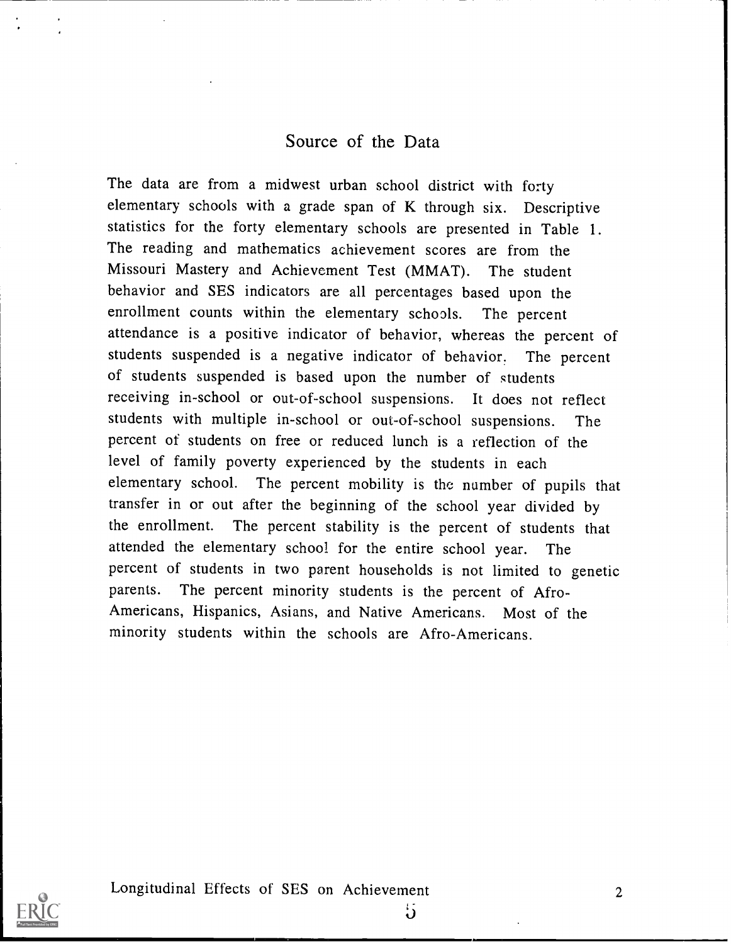### Source of the Data

The data are from a midwest urban school district with forty elementary schools with a grade span of K through six. Descriptive statistics for the forty elementary schools are presented in Table 1. The reading and mathematics achievement scores are from the Missouri Mastery and Achievement Test (MMAT). The student behavior and SES indicators are all percentages based upon the enrollment counts within the elementary schools. The percent attendance is a positive indicator of behavior, whereas the percent of students suspended is a negative indicator of behavior. The percent of students suspended is based upon the number of students receiving in-school or out-of-school suspensions. It does not reflect students with multiple in-school or out-of-school suspensions. The percent of students on free or reduced lunch is a reflection of the level of family poverty experienced by the students in each elementary school. The percent mobility is the number of pupils that transfer in or out after the beginning of the school year divided by the enrollment. The percent stability is the percent of students that attended the elementary school for the entire school year. The percent of students in two parent households is not limited to genetic parents. The percent minority students is the percent of Afro-Americans, Hispanics, Asians, and Native Americans. Most of the minority students within the schools are Afro-Americans.



Longitudinal Effects of SES on Achievement 2

 $\mathfrak{h}$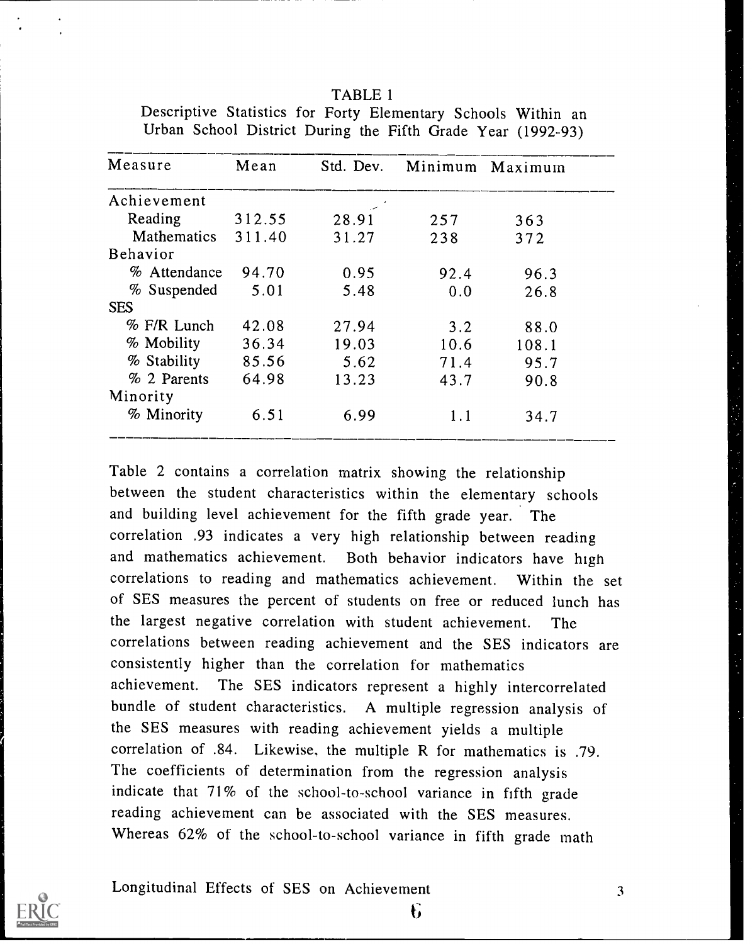| Measure            | Mean   | Std. Dev.                | Minimum | Maximum |
|--------------------|--------|--------------------------|---------|---------|
| Achievement        |        | $\overline{\phantom{a}}$ |         |         |
| Reading            | 312.55 | 28.91                    | 257     | 363     |
| <b>Mathematics</b> | 311.40 | 31.27                    | 238     | 372     |
| Behavior           |        |                          |         |         |
| % Attendance       | 94.70  | 0.95                     | 92.4    | 96.3    |
| % Suspended        | 5.01   | 5.48                     | 0.0     | 26.8    |
| <b>SES</b>         |        |                          |         |         |
| % F/R Lunch        | 42.08  | 27.94                    | 3.2     | 88.0    |
| % Mobility         | 36.34  | 19.03                    | 10.6    | 108.1   |
| % Stability        | 85.56  | 5.62                     | 71.4    | 95.7    |
| % 2 Parents        | 64.98  | 13.23                    | 43.7    | 90.8    |
| Minority           |        |                          |         |         |
| % Minority         | 6.51   | 6.99                     | 1.1     | 34.7    |

Descriptive Statistics for Forty Elementary Schools Within an Urban School District During the Fifth Grade Year (1992-93)

TABLE 1

Table 2 contains a correlation matrix showing the relationship between the student characteristics within the elementary schools and building level achievement for the fifth grade year. The correlation .93 indicates a very high relationship between reading and mathematics achievement. Both behavior indicators have high correlations to reading and mathematics achievement. Within the set of SES measures the percent of students on free or reduced lunch has the largest negative correlation with student achievement. The correlations between reading achievement and the SES indicators are consistently higher than the correlation for mathematics achievement. The SES indicators represent a highly intercorrelated bundle of student characteristics. A multiple regression analysis of the SES measures with reading achievement yields a multiple correlation of .84. Likewise, the multiple R for mathematics is .79. The coefficients of determination from the regression analysis indicate that 71% of the school-to-school variance in fifth grade reading achievement can be associated with the SES measures. Whereas 62% of the school-to-school variance in fifth grade math

 $\mathbf{6}$ 

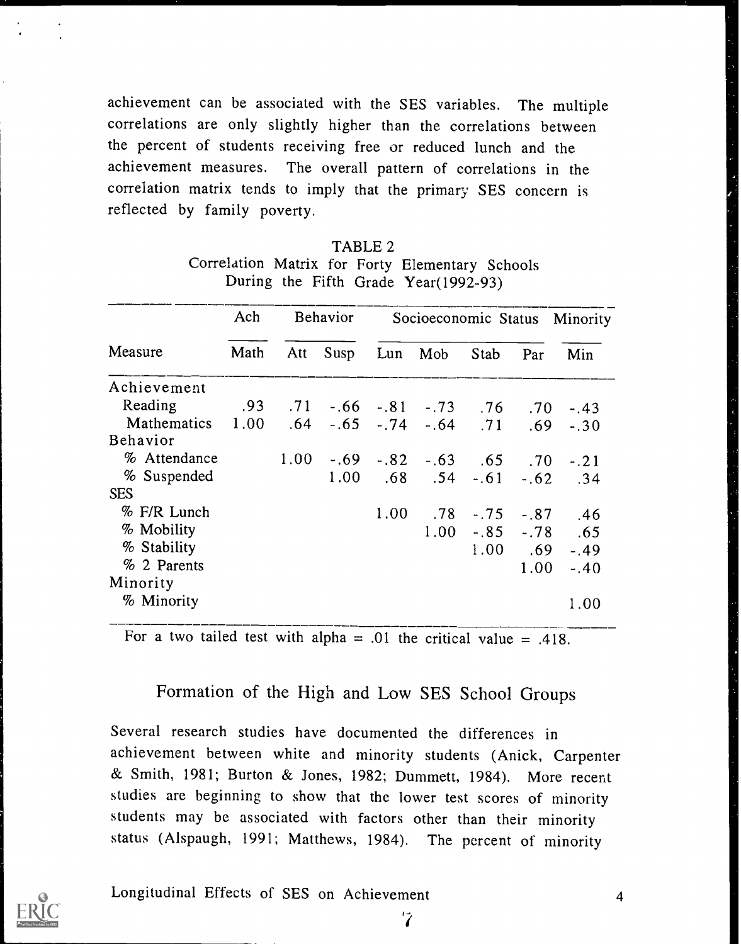achievement can be associated with the SES variables. The multiple correlations are only slightly higher than the correlations between the percent of students receiving free or reduced lunch and the achievement measures. The overall pattern of correlations in the correlation matrix tends to imply that the primary SES concern is reflected by family poverty.

|                  | Ach  | <b>Behavior</b> |                                        | Socioeconomic Status Minority |                    |                  |        |            |
|------------------|------|-----------------|----------------------------------------|-------------------------------|--------------------|------------------|--------|------------|
| Measure          | Math | Att             | Susp                                   | Lun                           | Mob                | Stab             | Par    | Min        |
| Achievement      |      |                 |                                        |                               |                    |                  |        |            |
| Reading          | .93  |                 | $.71$ $-.66$ $-.81$ $-.73$ $.76$ $.70$ |                               |                    |                  |        | $-.43$     |
| Mathematics 1.00 |      |                 | $.64$ $-.65$ $-.74$ $-.64$ $.71$       |                               |                    |                  | .69    | $-.30$     |
| <b>Behavior</b>  |      |                 |                                        |                               |                    |                  |        |            |
| % Attendance     |      |                 | $1.00$ -.69 -.82 -.63 .65 .70          |                               |                    |                  |        | $-.21$     |
| % Suspended      |      |                 | 1.00                                   |                               | $.68$ $.54$ $-.61$ |                  |        | $-.62-.34$ |
| <b>SES</b>       |      |                 |                                        |                               |                    |                  |        |            |
| % F/R Lunch      |      |                 |                                        | 1.00                          | .78                | $-.75$           | $-.87$ | .46        |
| % Mobility       |      |                 |                                        |                               |                    | $1.00 - 85 - 78$ |        | .65        |
| % Stability      |      |                 |                                        |                               |                    | 1.00.69          |        | $-.49$     |
| % 2 Parents      |      |                 |                                        |                               |                    |                  | 1.00   | $-.40$     |
| Minority         |      |                 |                                        |                               |                    |                  |        |            |
| % Minority       |      |                 |                                        |                               |                    |                  |        | 1.00       |

|  | TABLE 2 |                                                 |  |
|--|---------|-------------------------------------------------|--|
|  |         | Correlation Matrix for Forty Elementary Schools |  |
|  |         | During the Fifth Grade Year (1992-93)           |  |

For a two tailed test with alpha  $= .01$  the critical value  $= .418$ .

# Formation of the High and Low SES School Groups

Several research studies have documented the differences in achievement between white and minority students (Anick, Carpenter & Smith, 1981; Burton & Jones, 1982; Dummett, 1984). More recent studies are beginning to show that the lower test scores of minority students may be associated with factors other than their minority status (Alspaugh, 1991; Matthews, 1984). The percent of minority

 $\mathbf{z}$ 

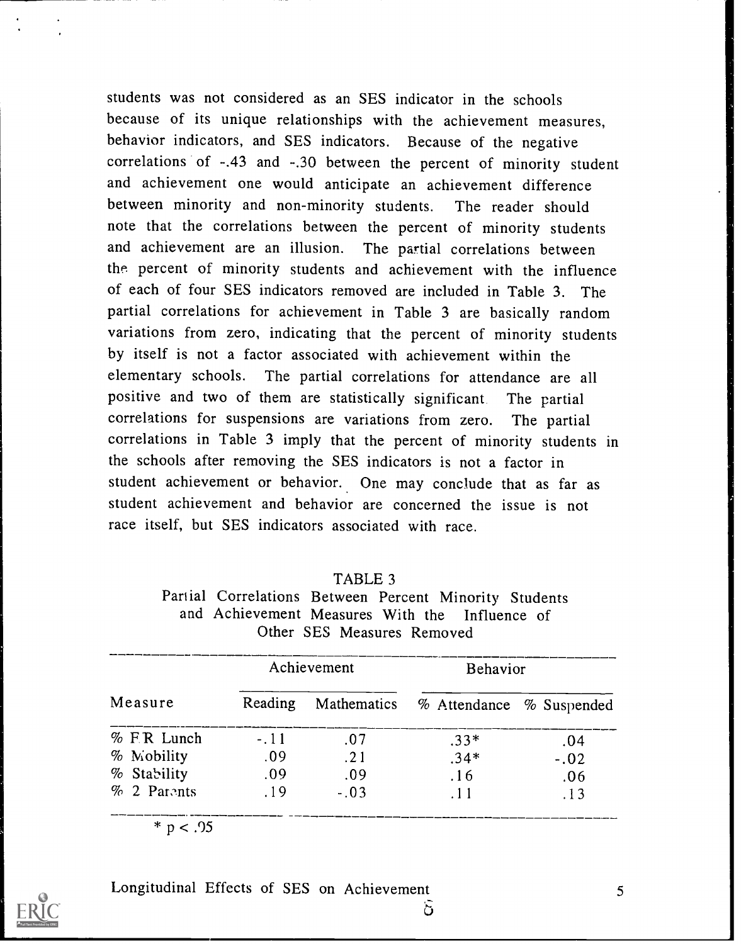students was not considered as an SES indicator in the schools because of its unique relationships with the achievement measures, behavior indicators, and SES indicators. Because of the negative correlations of -.43 and -.30 between the percent of minority student and achievement one would anticipate an achievement difference between minority and non-minority students. The reader should note that the correlations between the percent of minority students and achievement are an illusion. The partial correlations between the. percent of minority students and achievement with the influence of each of four SES indicators removed are included in Table 3. The partial correlations for achievement in Table 3 are basically random variations from zero, indicating that the percent of minority students by itself is not a factor associated with achievement within the elementary schools. The partial correlations for attendance are all positive and two of them are statistically significant The partial correlations for suspensions are variations from zero. The partial correlations in Table 3 imply that the percent of minority students in the schools after removing the SES indicators is not a factor in student achievement or behavior. One may conclude that as far as student achievement and behavior are concerned the issue is not race itself, but SES indicators associated with race.

| Partial Correlations Between Percent Minority Students |
|--------------------------------------------------------|
| and Achievement Measures With the Influence of         |
| Other SES Measures Removed                             |

TABLE 3

|               |         | Achievement | <b>Behavior</b>                      |        |  |  |
|---------------|---------|-------------|--------------------------------------|--------|--|--|
| Measure       | Reading |             | Mathematics % Attendance % Suspended |        |  |  |
| $%$ F.R Lunch | $-.11$  | .07         | $.33*$                               | .04    |  |  |
| % Mobility    | .09     | .21         | $.34*$                               | $-.02$ |  |  |
| % Stability   | .09     | .09         | .16                                  | .06    |  |  |
| % 2 Parents   | .19     | $-.03$      | .11                                  | .13    |  |  |

 $\delta$ 

 $* p < .95$ 

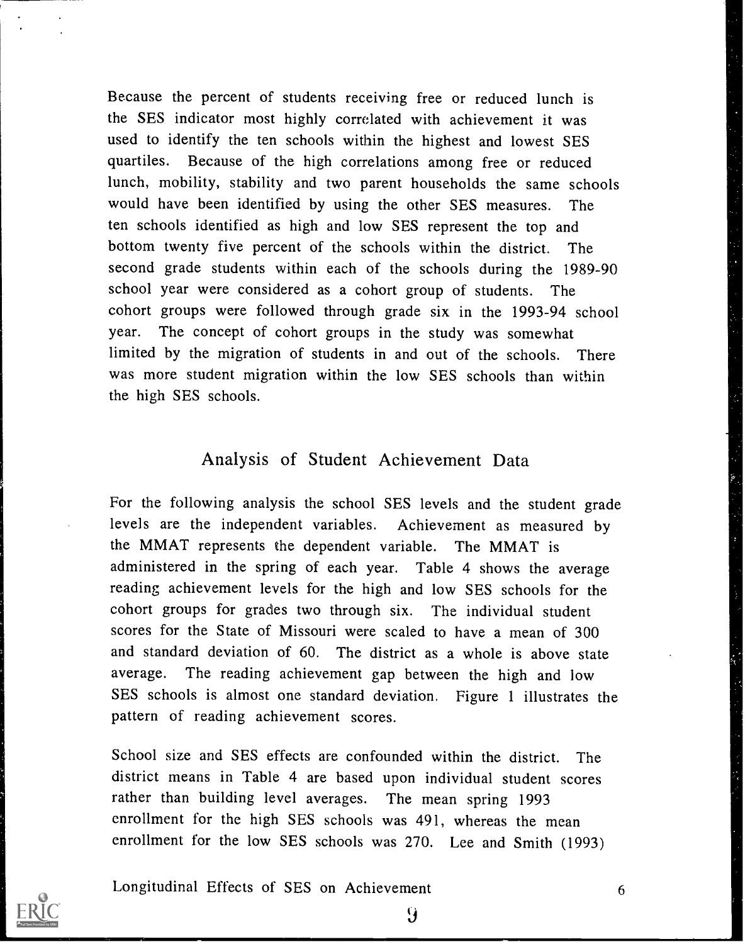Because the percent of students receiving free or reduced lunch is the SES indicator most highly correlated with achievement it was used to identify the ten schools within the highest and lowest SES quartiles. Because of the high correlations among free or reduced lunch, mobility, stability and two parent households the same schools would have been identified by using the other SES measures. The ten schools identified as high and low SES represent the top and bottom twenty five percent of the schools within the district. The second grade students within each of the schools during the 1989-90 school year were considered as a cohort group of students. The cohort groups were followed through grade six in the 1993-94 school year. The concept of cohort groups in the study was somewhat limited by the migration of students in and out of the schools. There was more student migration within the low SES schools than within the high SES schools.

# Analysis of Student Achievement Data

For the following analysis the school SES levels and the student grade levels are the independent variables. Achievement as measured by the MMAT represents the dependent variable. The MMAT is administered in the spring of each year. Table 4 shows the average reading achievement levels for the high and low SES schools for the cohort groups for grades two through six. The individual student scores for the State of Missouri were scaled to have a mean of 300 and standard deviation of 60. The district as a whole is above state average. The reading achievement gap between the high and low SES schools is almost one standard deviation. Figure <sup>1</sup> illustrates the pattern of reading achievement scores.

School size and SES effects are confounded within the district. The district means in Table 4 are based upon individual student scores rather than building level averages. The mean spring 1993 enrollment for the high SES schools was 491, whereas the mean enrollment for the low SES schools was 270. Lee and Smith (1993)

6

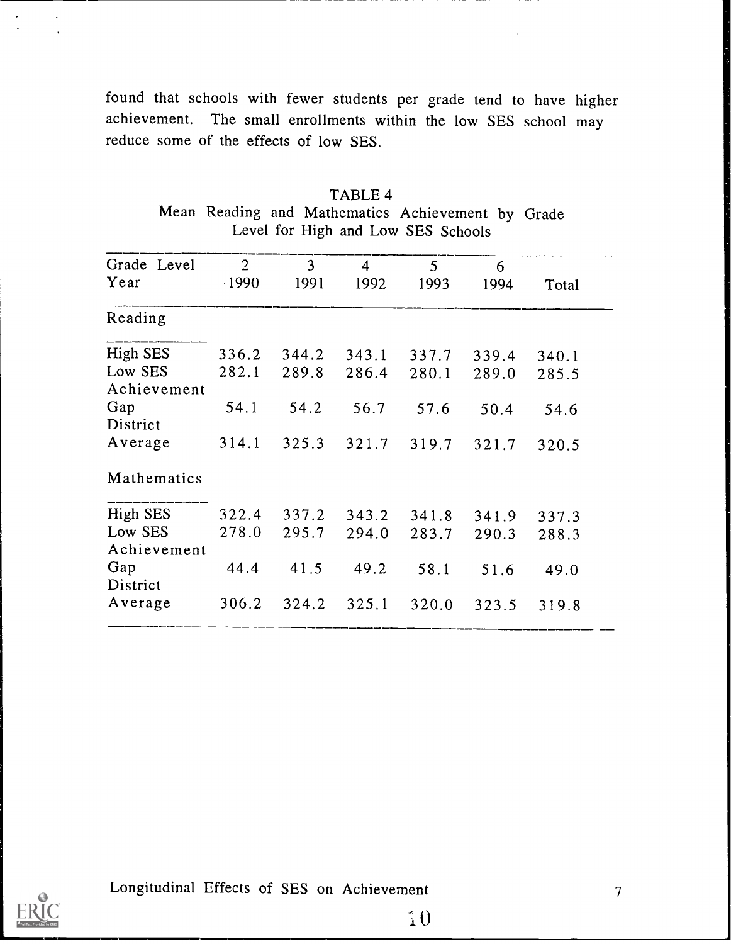found that schools with fewer students per grade tend to have higher achievement. The small enrollments within the low SES school may reduce some of the effects of low SES.

|                        |                           |           | $D0$ and the state $D0$ of $D0$ |           |           |       |
|------------------------|---------------------------|-----------|---------------------------------|-----------|-----------|-------|
| Grade Level<br>Year    | $\overline{2}$<br>$-1990$ | 3<br>1991 | $\overline{4}$<br>1992          | 5<br>1993 | 6<br>1994 | Total |
| Reading                |                           |           |                                 |           |           |       |
| High SES               | 336.2                     | 344.2     | 343.1                           | 337.7     | 339.4     | 340.1 |
| Low SES<br>Achievement | 282.1                     | 289.8     | 286.4                           | 280.1     | 289.0     | 285.5 |
| Gap<br>District        | 54.1                      | 54.2      | 56.7                            | 57.6      | 50.4      | 54.6  |
| Average                | 314.1                     | 325.3     | 321.7                           | 319.7     | 321.7     | 320.5 |
| Mathematics            |                           |           |                                 |           |           |       |
| High SES               | 322.4                     | 337.2     | 343.2                           | 341.8     | 341.9     | 337.3 |
| Low SES<br>Achievement | 278.0                     | 295.7     | 294.0                           | 283.7     | 290.3     | 288.3 |
| Gap<br>District        | 44.4                      | 41.5      | 49.2                            | 58.1      | 51.6      | 49.0  |
| Average                | 306.2                     | 324.2     | 325.1                           | 320.0     | 323.5     | 319.8 |

TABLE 4 Mean Reading and Mathematics Achievement by Grade Level for High and Low SES Schools

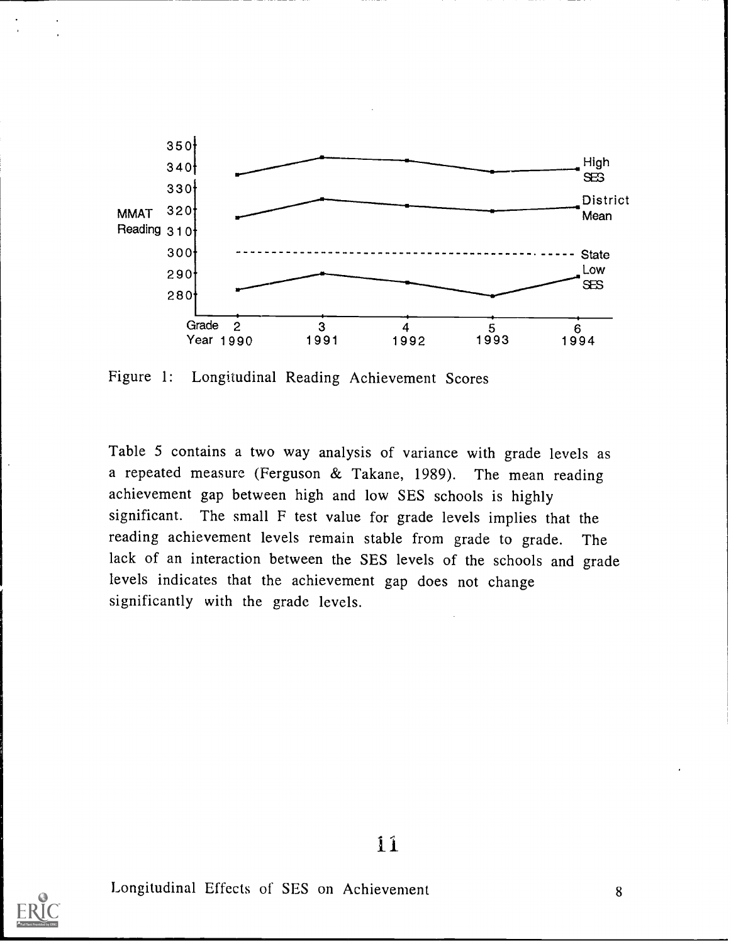

Figure 1: Longitudinal Reading Achievement Scores

Table 5 contains a two way analysis of variance with grade levels as a repeated measure (Ferguson & Takane, 1989). The mean reading achievement gap between high and low SES schools is highly significant. The small F test value for grade levels implies that the reading achievement levels remain stable from grade to grade. The lack of an interaction between the SES levels of the schools and grade levels indicates that the achievement gap does not change significantly with the grade levels.



11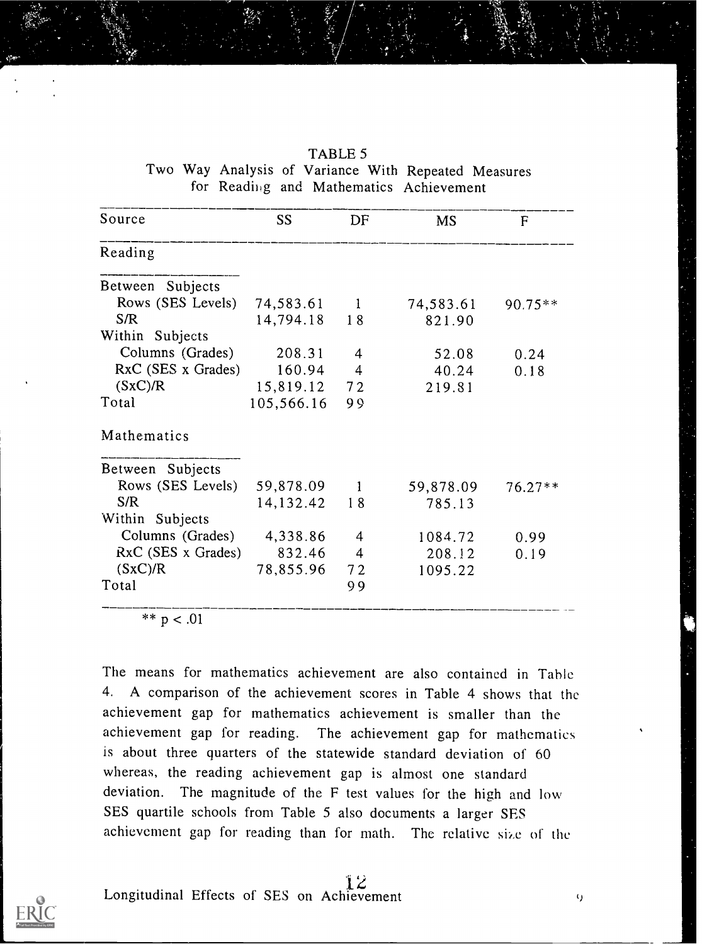| Source               | <b>SS</b>   | DF             | <b>MS</b> | F         |
|----------------------|-------------|----------------|-----------|-----------|
| Reading              |             |                |           |           |
| Between Subjects     |             |                |           |           |
| Rows (SES Levels)    | 74,583.61   | $\mathbf{1}$   | 74,583.61 | $90.75**$ |
| S/R                  | 14,794.18   | 18             | 821.90    |           |
| Within Subjects      |             |                |           |           |
| Columns (Grades)     | 208.31      | 4              | 52.08     | 0.24      |
| RxC (SES x Grades)   | 160.94      | $\overline{4}$ | 40.24     | 0.18      |
| $(SxC)$ / $R$        | 15,819.12   | 72             | 219.81    |           |
| Total                | 105,566.16  | 99             |           |           |
| Mathematics          |             |                |           |           |
| Between Subjects     |             |                |           |           |
| Rows (SES Levels)    | 59,878.09   | $\mathbf{1}$   | 59,878.09 | $76.27**$ |
| S/R                  | 14, 132. 42 | 18             | 785.13    |           |
| Within Subjects      |             |                |           |           |
| Columns (Grades)     | 4,338.86    | 4              | 1084.72   | 0.99      |
| $RxC$ (SES x Grades) | 832.46      | $\overline{4}$ | 208.12    | 0.19      |
| (SxC)/R              | 78,855.96   | 72             | 1095.22   |           |
| Total                |             | 99             |           |           |

TABLE 5 Two Way Analysis of Variance With Repeated Measures for Readii,g and Mathematics Achievement

\*\* p < .01

The means for mathematics achievement are also contained in Table 4. A comparison of the achievement scores in Table 4 shows that the achievement gap for mathematics achievement is smaller than the achievement gap for reading. The achievement gap for mathematics is about three quarters of the statewide standard deviation of 60 whereas, the reading achievement gap is almost one standard deviation. The magnitude of the F test values for the high and low SES quartile schools from Table 5 also documents a larger SES achievement gap for reading than for math. The relative size of the

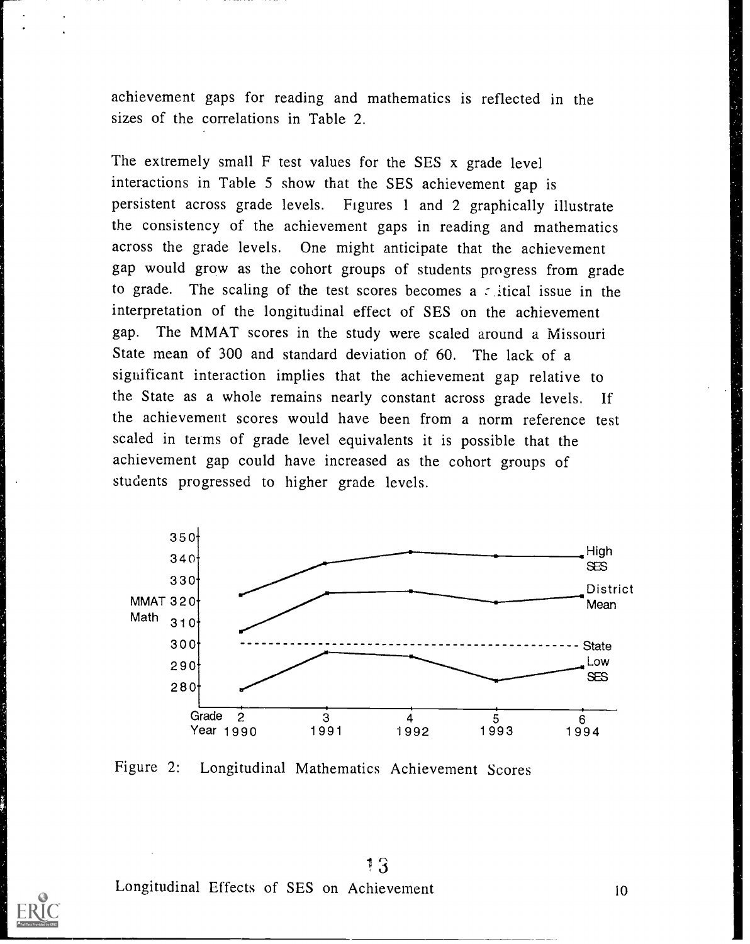achievement gaps for reading and mathematics is reflected in the sizes of the correlations in Table 2.

The extremely small F test values for the SES x grade level interactions in Table 5 show that the SES achievement gap is persistent across grade levels. Figures <sup>1</sup> and 2 graphically illustrate the consistency of the achievement gaps in reading and mathematics across the grade levels. One might anticipate that the achievement gap would grow as the cohort groups of students progress from grade to grade. The scaling of the test scores becomes a  $\epsilon$  itical issue in the interpretation of the longitudinal effect of SES on the achievement gap. The MMAT scores in the study were scaled around a Missouri State mean of 300 and standard deviation of 60. The lack of a significant interaction implies that the achievement gap relative to the State as a whole remains nearly constant across grade levels. If the achievement scores would have been from a norm reference test scaled in terms of grade level equivalents it is possible that the achievement gap could have increased as the cohort groups of students progressed to higher grade levels.



Figure 2: Longitudinal Mathematics Achievement Scores

 $3 \sim$ 

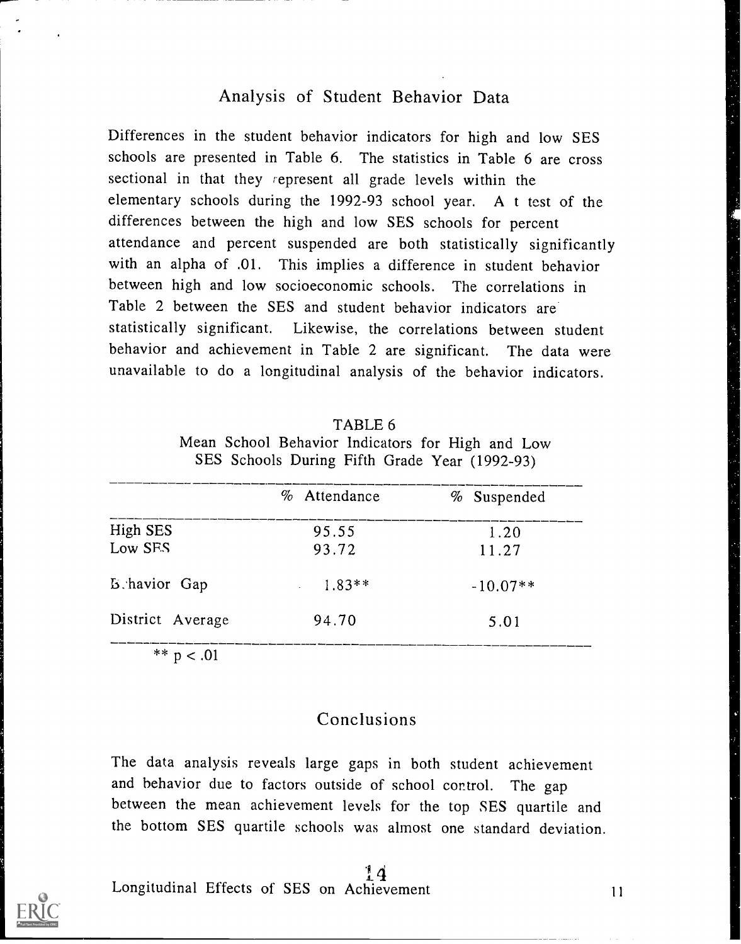### Analysis of Student Behavior Data

Differences in the student behavior indicators for high and low SES schools are presented in Table 6. The statistics in Table 6 are cross sectional in that they represent all grade levels within the elementary schools during the 1992-93 school year. A t test of the differences between the high and low SES schools for percent attendance and percent suspended are both statistically significantly with an alpha of .01. This implies a difference in student behavior between high and low socioeconomic schools. The correlations in Table 2 between the SES and student behavior indicators are statistically significant. Likewise, the correlations between student behavior and achievement in Table 2 are significant. The data were unavailable to do a longitudinal analysis of the behavior indicators.

|  | TABLE 6 |  |  |
|--|---------|--|--|
|  |         |  |  |

|  | Mean School Behavior Indicators for High and Low |  |  |  |  |  |
|--|--------------------------------------------------|--|--|--|--|--|
|  | SES Schools During Fifth Grade Year (1992-93)    |  |  |  |  |  |

|                      | % Attendance   | % Suspended   |
|----------------------|----------------|---------------|
| High SES<br>Low SFS  | 95.55<br>93.72 | 1.20<br>11.27 |
| <b>B.</b> havior Gap | $1.83**$       | $-10.07**$    |
| District Average     | 94.70          | 5.01          |

\*\*  $p < .01$ 

#### Conclusions

The data analysis reveals large gaps in both student achievement and behavior due to factors outside of school control. The gap between the mean achievement levels for the top SES quartile and the bottom SES quartile schools was almost one standard deviation.

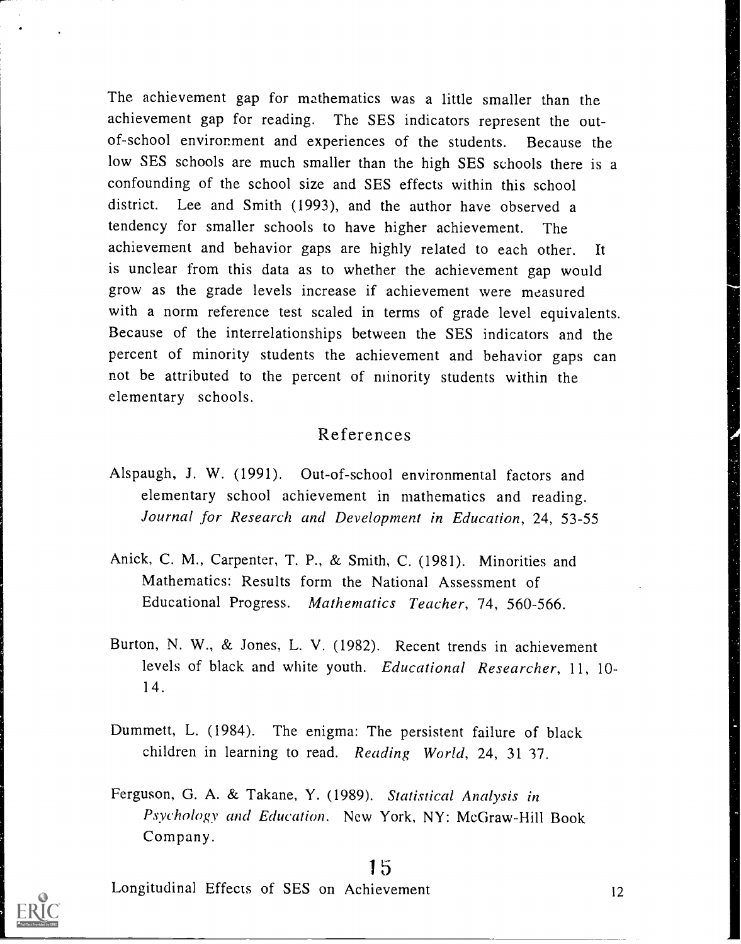The achievement gap for mathematics was a little smaller than the achievement gap for reading. The SES indicators represent the outof-school environment and experiences of the students. Because the low SES schools are much smaller than the high SES schools there is a confounding of the school size and SES effects within this school district. Lee and Smith (1993), and the author have observed a tendency for smaller schools to have higher achievement. The achievement and behavior gaps are highly related to each other. It is unclear from this data as to whether the achievement gap would grow as the grade levels increase if achievement were measured with a norm reference test scaled in terms of grade level equivalents. Because of the interrelationships between the SES indicators and the percent of minority students the achievement and behavior gaps can not be attributed to the percent of minority students within the elementary schools.

## References

- Alspaugh, J. W. (1991). Out-of-school environmental factors and elementary school achievement in mathematics and reading. Journal for Research and Development in Education, 24, 53-55
- Anick, C. M., Carpenter, T. P., & Smith, C. (1981). Minorities and Mathematics: Results form the National Assessment of Educational Progress. Mathematics Teacher, 74, 560-566.
- Burton, N. W., & Jones. L. V. (1982). Recent trends in achievement levels of black and white youth. Educational Researcher, 11, 10- 14 .
- Dummett, L. (1984). The enigma: The persistent failure of black children in learning to read. Reading World, 24, 31 37.
- Ferguson, G. A. & Takane, Y. (1989). Statistical Analysis in Psychology and Education. New York, NY: McGraw-Hill Book Company.

## 1 5